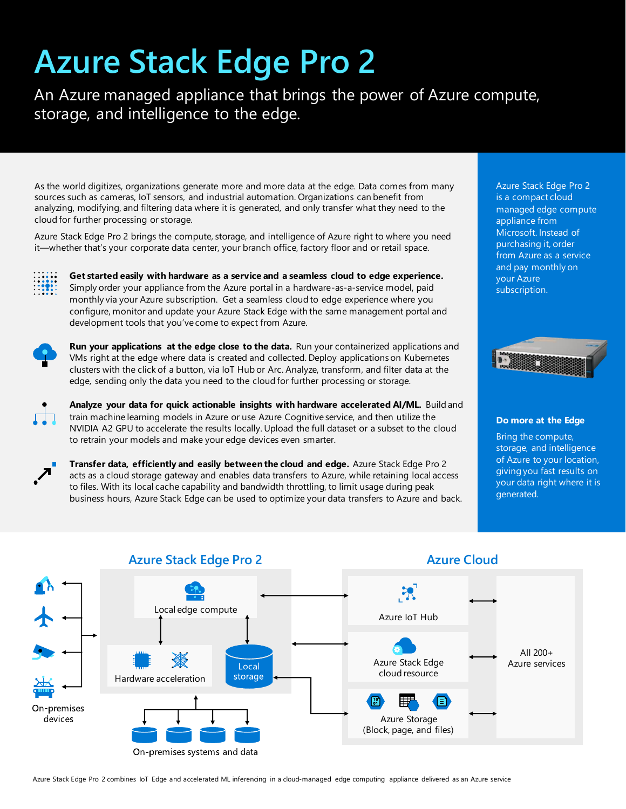# **Azure Stack Edge Pro 2**

An Azure managed appliance that brings the power of Azure compute, storage, and intelligence to the edge.

As the world digitizes, organizations generate more and more data at the edge. Data comes from many sources such as cameras, IoT sensors, and industrial automation. Organizations can benefit from analyzing, modifying, and filtering data where it is generated, and only transfer what they need to the cloud for further processing or storage.

Azure Stack Edge Pro 2 brings the compute, storage, and intelligence of Azure right to where you need it—whether that's your corporate data center, your branch office, factory floor and or retail space.



**Get started easily with hardware as a service and a seamless cloud to edge experience.**  Simply order your appliance from the Azure portal in a hardware-as-a-service model, paid monthly via your Azure subscription. Get a seamless cloud to edge experience where you configure, monitor and update your Azure Stack Edge with the same management portal and development tools that you've come to expect from Azure.



**Run your applications at the edge close to the data.** Run your containerized applications and VMs right at the edge where data is created and collected. Deploy applications on Kubernetes clusters with the click of a button, via IoT Hub or Arc. Analyze, transform, and filter data at the edge, sending only the data you need to the cloud for further processing or storage.

**Analyze your data for quick actionable insights with hardware accelerated AI/ML.** Build and train machine learning models in Azure or use Azure Cognitive service, and then utilize the NVIDIA A2 GPU to accelerate the results locally. Upload the full dataset or a subset to the cloud to retrain your models and make your edge devices even smarter.



**Transfer data, efficiently and easily between the cloud and edge.** Azure Stack Edge Pro 2 acts as a cloud storage gateway and enables data transfers to Azure, while retaining local access to files. With its local cache capability and bandwidth throttling, to limit usage during peak business hours, Azure Stack Edge can be used to optimize your data transfers to Azure and back. Azure Stack Edge Pro 2 is a compact cloud managed edge compute appliance from Microsoft. Instead of purchasing it, order from Azure as a service and pay monthly on your Azure subscription.



#### **Do more at the Edge**

Bring the compute, storage, and intelligence of Azure to your location, giving you fast results on your data right where it is generated.